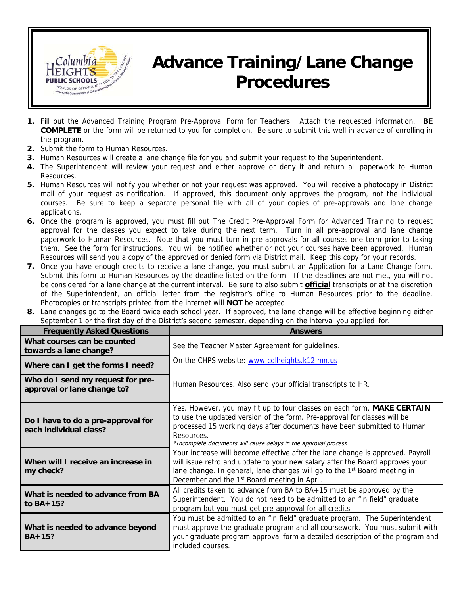

## **Advance Training/Lane Change Procedures**

- **1.** Fill out the Advanced Training Program Pre-Approval Form for Teachers. Attach the requested information. **BE COMPLETE** or the form will be returned to you for completion. Be sure to submit this well in advance of enrolling in the program.
- **2.** Submit the form to Human Resources.
- **3.** Human Resources will create a lane change file for you and submit your request to the Superintendent.
- **4.** The Superintendent will review your request and either approve or deny it and return all paperwork to Human Resources.
- **5.** Human Resources will notify you whether or not your request was approved. You will receive a photocopy in District mail of your request as notification. If approved, this document only approves the program, not the individual courses. Be sure to keep a separate personal file with all of your copies of pre-approvals and lane change applications.
- **6.** Once the program is approved, you must fill out The Credit Pre-Approval Form for Advanced Training to request approval for the classes you expect to take during the next term. Turn in all pre-approval and lane change paperwork to Human Resources. Note that you must turn in pre-approvals for all courses one term prior to taking them. See the form for instructions. You will be notified whether or not your courses have been approved. Human Resources will send you a copy of the approved or denied form via District mail. Keep this copy for your records.
- **7.** Once you have enough credits to receive a lane change, you must submit an Application for a Lane Change form. Submit this form to Human Resources by the deadline listed on the form. If the deadlines are not met, you will not be considered for a lane change at the current interval. Be sure to also submit **official** transcripts or at the discretion of the Superintendent, an official letter from the registrar's office to Human Resources prior to the deadline. Photocopies or transcripts printed from the internet will **NOT** be accepted.
- **8.** Lane changes go to the Board twice each school year. If approved, the lane change will be effective beginning either September 1 or the first day of the District's second semester, depending on the interval you applied for.

| <b>Frequently Asked Questions</b>                                | <b>Answers</b>                                                                                                                                                                                                                                                                                                      |
|------------------------------------------------------------------|---------------------------------------------------------------------------------------------------------------------------------------------------------------------------------------------------------------------------------------------------------------------------------------------------------------------|
| What courses can be counted<br>towards a lane change?            | See the Teacher Master Agreement for guidelines.                                                                                                                                                                                                                                                                    |
| Where can I get the forms I need?                                | On the CHPS website: www.colheights.k12.mn.us                                                                                                                                                                                                                                                                       |
| Who do I send my request for pre-<br>approval or lane change to? | Human Resources. Also send your official transcripts to HR.                                                                                                                                                                                                                                                         |
| Do I have to do a pre-approval for<br>each individual class?     | Yes. However, you may fit up to four classes on each form. MAKE CERTAIN<br>to use the updated version of the form. Pre-approval for classes will be<br>processed 15 working days after documents have been submitted to Human<br>Resources.<br>*Incomplete documents will cause delays in the approval process.     |
| When will I receive an increase in<br>my check?                  | Your increase will become effective after the lane change is approved. Payroll<br>will issue retro and update to your new salary after the Board approves your<br>lane change. In general, lane changes will go to the 1 <sup>st</sup> Board meeting in<br>December and the 1 <sup>st</sup> Board meeting in April. |
| What is needed to advance from BA<br>to $BA+15?$                 | All credits taken to advance from BA to $BA+15$ must be approved by the<br>Superintendent. You do not need to be admitted to an "in field" graduate<br>program but you must get pre-approval for all credits.                                                                                                       |
| What is needed to advance beyond<br>$BA+15?$                     | You must be admitted to an "in field" graduate program. The Superintendent<br>must approve the graduate program and all coursework. You must submit with<br>your graduate program approval form a detailed description of the program and<br>included courses.                                                      |